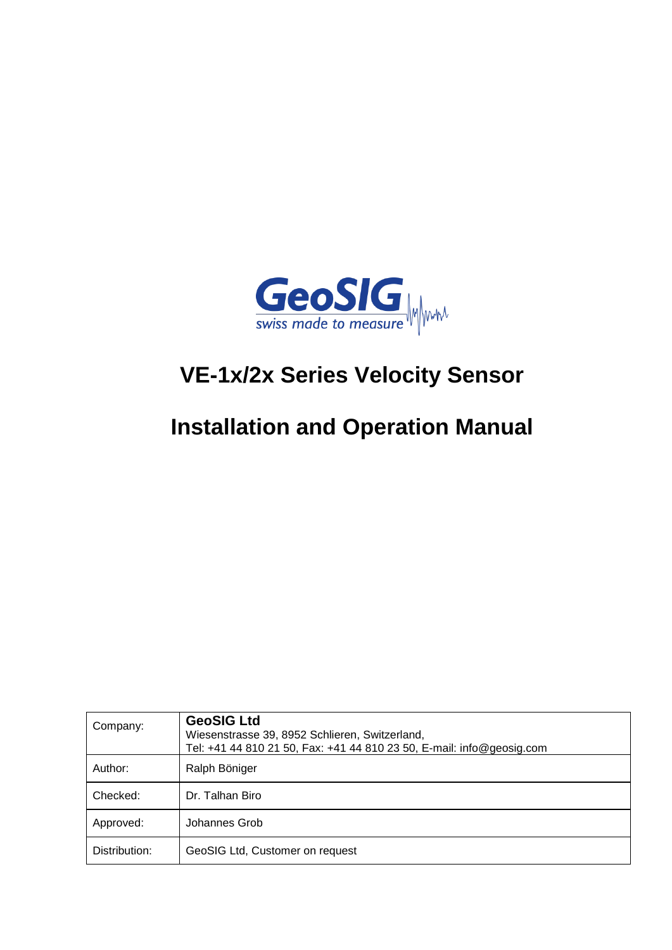

# **VE-1x/2x Series Velocity Sensor**

# **Installation and Operation Manual**

| Company:      | <b>GeoSIG Ltd</b><br>Wiesenstrasse 39, 8952 Schlieren, Switzerland,<br>Tel: +41 44 810 21 50, Fax: +41 44 810 23 50, E-mail: info@geosig.com |  |
|---------------|----------------------------------------------------------------------------------------------------------------------------------------------|--|
| Author:       | Ralph Böniger                                                                                                                                |  |
| Checked:      | Dr. Talhan Biro                                                                                                                              |  |
| Approved:     | Johannes Grob                                                                                                                                |  |
| Distribution: | GeoSIG Ltd, Customer on request                                                                                                              |  |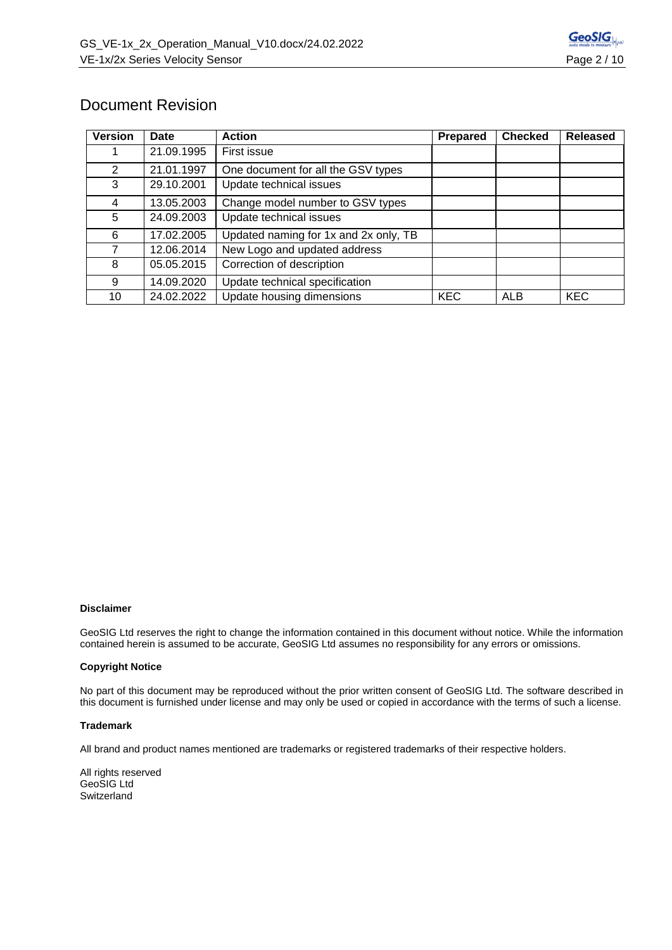

# Document Revision

| <b>Version</b> | Date       | <b>Action</b>                                                       | <b>Prepared</b> | <b>Checked</b> | <b>Released</b> |
|----------------|------------|---------------------------------------------------------------------|-----------------|----------------|-----------------|
|                | 21.09.1995 | First issue                                                         |                 |                |                 |
| 2              | 21.01.1997 | One document for all the GSV types                                  |                 |                |                 |
| 3              | 29.10.2001 | Update technical issues                                             |                 |                |                 |
| 4              | 13.05.2003 | Change model number to GSV types                                    |                 |                |                 |
| 5              | 24.09.2003 | Update technical issues                                             |                 |                |                 |
| 6              | 17.02.2005 | Updated naming for 1x and 2x only, TB                               |                 |                |                 |
| 7              | 12.06.2014 | New Logo and updated address                                        |                 |                |                 |
| 8              | 05.05.2015 | Correction of description                                           |                 |                |                 |
| 9              | 14.09.2020 | Update technical specification                                      |                 |                |                 |
| 10             | 24.02.2022 | Update housing dimensions<br><b>KEC</b><br><b>KEC</b><br><b>ALB</b> |                 |                |                 |

#### **Disclaimer**

GeoSIG Ltd reserves the right to change the information contained in this document without notice. While the information contained herein is assumed to be accurate, GeoSIG Ltd assumes no responsibility for any errors or omissions.

#### **Copyright Notice**

No part of this document may be reproduced without the prior written consent of GeoSIG Ltd. The software described in this document is furnished under license and may only be used or copied in accordance with the terms of such a license.

#### **Trademark**

All brand and product names mentioned are trademarks or registered trademarks of their respective holders.

All rights reserved GeoSIG Ltd **Switzerland**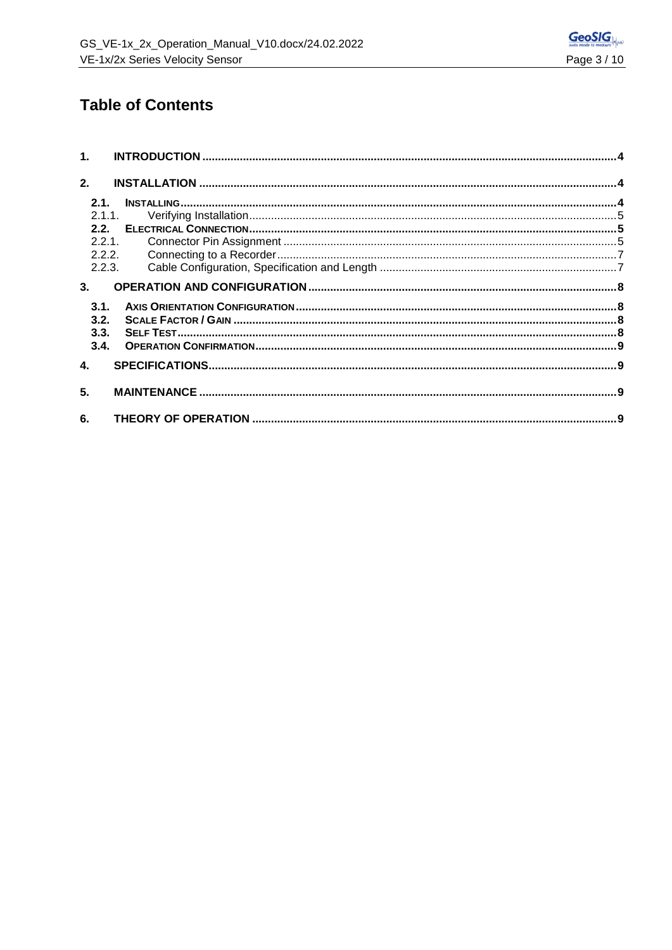

# **Table of Contents**

|                           | 1.     |       |  |
|---------------------------|--------|-------|--|
| 2.                        |        |       |  |
|                           | 2.1.   |       |  |
|                           |        | 2.1.1 |  |
|                           |        |       |  |
|                           | 2.2.1  |       |  |
|                           | 2.2.2. |       |  |
|                           | 2.2.3. |       |  |
|                           | 3.     |       |  |
|                           | 3.1.   |       |  |
|                           | 3.2.   |       |  |
|                           | 3.3.   |       |  |
|                           | 3.4.   |       |  |
| $\overline{\mathbf{4}}$ . |        |       |  |
| 5.                        |        |       |  |
| 6.                        |        |       |  |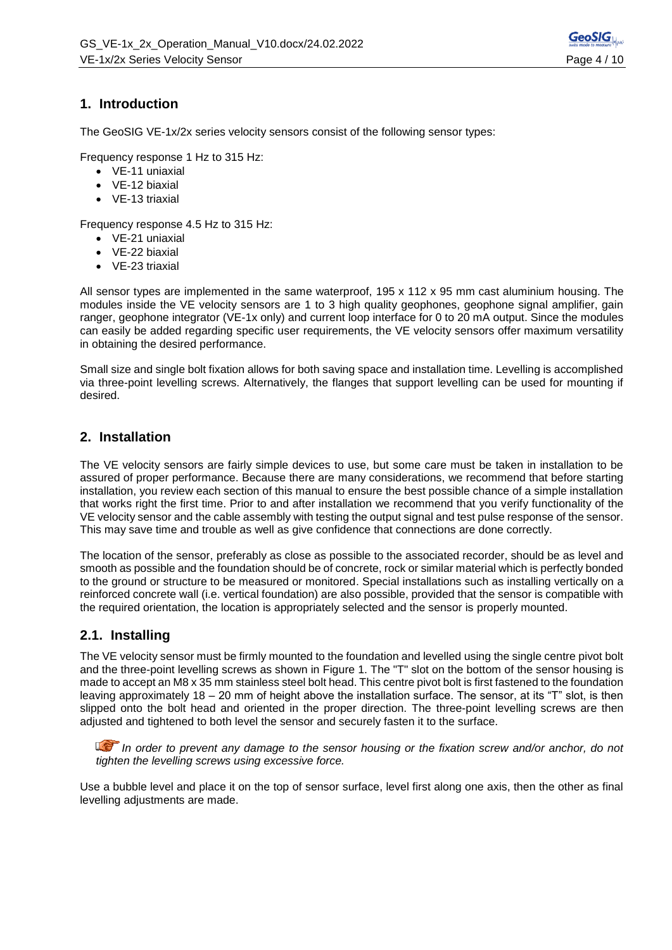# **1. Introduction**

The GeoSIG VE-1x/2x series velocity sensors consist of the following sensor types:

Frequency response 1 Hz to 315 Hz:

- VE-11 uniaxial
- VE-12 biaxial
- VE-13 triaxial

Frequency response 4.5 Hz to 315 Hz:

- VE-21 uniaxial
- VE-22 biaxial
- VE-23 triaxial

All sensor types are implemented in the same waterproof, 195 x 112 x 95 mm cast aluminium housing. The modules inside the VE velocity sensors are 1 to 3 high quality geophones, geophone signal amplifier, gain ranger, geophone integrator (VE-1x only) and current loop interface for 0 to 20 mA output. Since the modules can easily be added regarding specific user requirements, the VE velocity sensors offer maximum versatility in obtaining the desired performance.

Small size and single bolt fixation allows for both saving space and installation time. Levelling is accomplished via three-point levelling screws. Alternatively, the flanges that support levelling can be used for mounting if desired.

## **2. Installation**

The VE velocity sensors are fairly simple devices to use, but some care must be taken in installation to be assured of proper performance. Because there are many considerations, we recommend that before starting installation, you review each section of this manual to ensure the best possible chance of a simple installation that works right the first time. Prior to and after installation we recommend that you verify functionality of the VE velocity sensor and the cable assembly with testing the output signal and test pulse response of the sensor. This may save time and trouble as well as give confidence that connections are done correctly.

The location of the sensor, preferably as close as possible to the associated recorder, should be as level and smooth as possible and the foundation should be of concrete, rock or similar material which is perfectly bonded to the ground or structure to be measured or monitored. Special installations such as installing vertically on a reinforced concrete wall (i.e. vertical foundation) are also possible, provided that the sensor is compatible with the required orientation, the location is appropriately selected and the sensor is properly mounted.

# **2.1. Installing**

The VE velocity sensor must be firmly mounted to the foundation and levelled using the single centre pivot bolt and the three-point levelling screws as shown in [Figure 1.](#page-4-0) The "T" slot on the bottom of the sensor housing is made to accept an M8 x 35 mm stainless steel bolt head. This centre pivot bolt is first fastened to the foundation leaving approximately 18 – 20 mm of height above the installation surface. The sensor, at its "T" slot, is then slipped onto the bolt head and oriented in the proper direction. The three-point levelling screws are then adjusted and tightened to both level the sensor and securely fasten it to the surface.

*In order to prevent any damage to the sensor housing or the fixation screw and/or anchor, do not tighten the levelling screws using excessive force.*

Use a bubble level and place it on the top of sensor surface, level first along one axis, then the other as final levelling adjustments are made.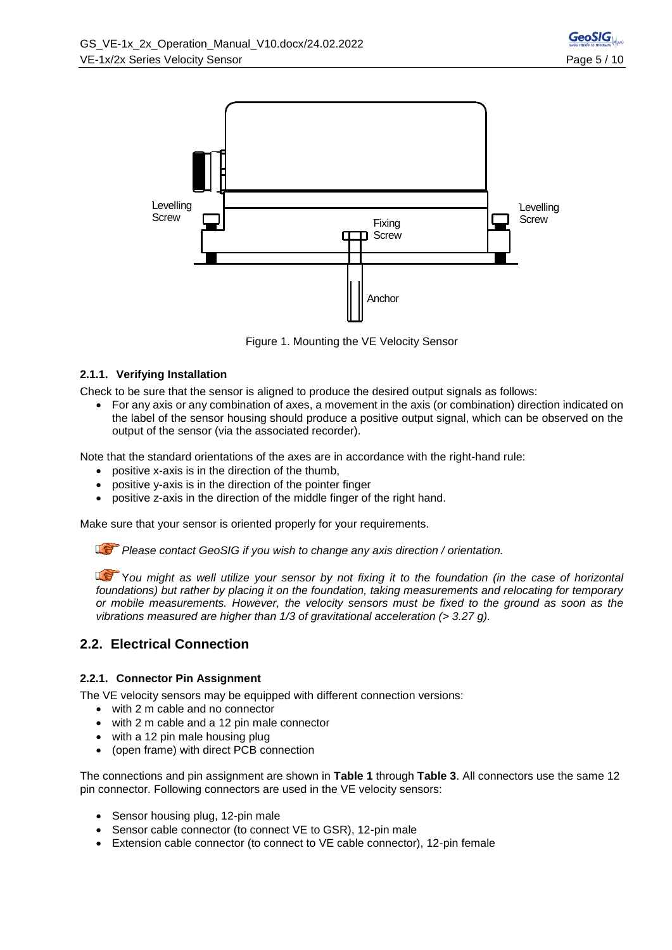

Figure 1. Mounting the VE Velocity Sensor

#### <span id="page-4-0"></span>**2.1.1. Verifying Installation**

Check to be sure that the sensor is aligned to produce the desired output signals as follows:

• For any axis or any combination of axes, a movement in the axis (or combination) direction indicated on the label of the sensor housing should produce a positive output signal, which can be observed on the output of the sensor (via the associated recorder).

Note that the standard orientations of the axes are in accordance with the right-hand rule:

- positive x-axis is in the direction of the thumb,
- positive y-axis is in the direction of the pointer finger
- positive z-axis in the direction of the middle finger of the right hand.

Make sure that your sensor is oriented properly for your requirements.

*Please contact GeoSIG if you wish to change any axis direction / orientation.*

Y*ou might as well utilize your sensor by not fixing it to the foundation (in the case of horizontal foundations) but rather by placing it on the foundation, taking measurements and relocating for temporary or mobile measurements. However, the velocity sensors must be fixed to the ground as soon as the vibrations measured are higher than 1/3 of gravitational acceleration (> 3.27 g).*

# **2.2. Electrical Connection**

#### **2.2.1. Connector Pin Assignment**

The VE velocity sensors may be equipped with different connection versions:

- with 2 m cable and no connector
- with 2 m cable and a 12 pin male connector
- with a 12 pin male housing plug
- (open frame) with direct PCB connection

The connections and pin assignment are shown in **[Table 1](#page-5-0)** through **[Table 3](#page-5-1)**. All connectors use the same 12 pin connector. Following connectors are used in the VE velocity sensors:

- Sensor housing plug, 12-pin male
- Sensor cable connector (to connect VE to GSR), 12-pin male
- Extension cable connector (to connect to VE cable connector), 12-pin female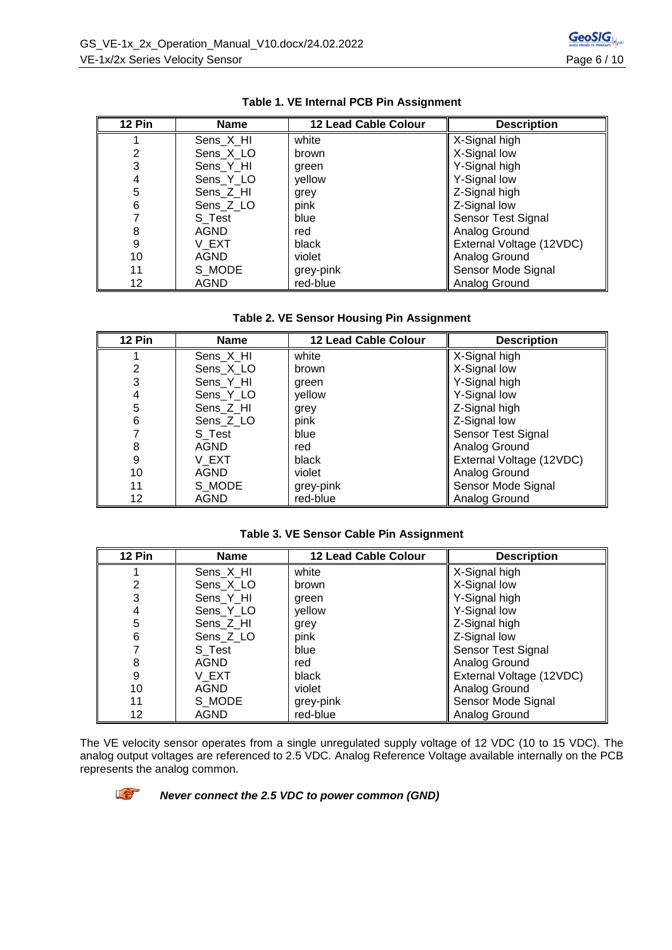<span id="page-5-0"></span>

| 12 Pin | <b>Name</b> | 12 Lead Cable Colour | <b>Description</b>       |
|--------|-------------|----------------------|--------------------------|
|        | Sens_X_HI   | white                | X-Signal high            |
| 2      | Sens X LO   | brown                | X-Signal low             |
| 3      | Sens_Y_HI   | green                | Y-Signal high            |
| 4      | Sens_Y_LO   | yellow               | Y-Signal low             |
| 5      | Sens_Z_HI   | grey                 | Z-Signal high            |
| 6      | Sens_Z_LO   | pink                 | Z-Signal low             |
|        | S_Test      | blue                 | Sensor Test Signal       |
| 8      | AGND        | red                  | Analog Ground            |
| 9      | V EXT       | black                | External Voltage (12VDC) |
| 10     | AGND        | violet               | Analog Ground            |
| 11     | S MODE      | grey-pink            | Sensor Mode Signal       |
| 12     | <b>AGND</b> | red-blue             | Analog Ground            |

|  |  |  | Table 1. VE Internal PCB Pin Assignment |
|--|--|--|-----------------------------------------|
|--|--|--|-----------------------------------------|

|  |  | Table 2. VE Sensor Housing Pin Assignment |  |
|--|--|-------------------------------------------|--|
|--|--|-------------------------------------------|--|

| 12 Pin | Name        | 12 Lead Cable Colour | <b>Description</b>       |
|--------|-------------|----------------------|--------------------------|
|        | Sens_X_HI   | white                | X-Signal high            |
| 2      | Sens X LO   | brown                | X-Signal low             |
| 3      | Sens_Y_HI   | green                | Y-Signal high            |
| 4      | Sens_Y_LO   | yellow               | Y-Signal low             |
| 5      | Sens_Z_HI   | grey                 | Z-Signal high            |
| 6      | Sens_Z_LO   | pink                 | Z-Signal low             |
|        | S Test      | blue                 | Sensor Test Signal       |
| 8      | AGND        | red                  | Analog Ground            |
| 9      | V EXT       | black                | External Voltage (12VDC) |
| 10     | AGND        | violet               | Analog Ground            |
| 11     | S MODE      | grey-pink            | Sensor Mode Signal       |
| 12     | <b>AGND</b> | red-blue             | Analog Ground            |

#### **Table 3. VE Sensor Cable Pin Assignment**

<span id="page-5-1"></span>

| 12 Pin | <b>Name</b> | <b>12 Lead Cable Colour</b> | <b>Description</b>       |
|--------|-------------|-----------------------------|--------------------------|
|        | Sens X HI   | white                       | X-Signal high            |
| 2      | Sens X LO   | brown                       | X-Signal low             |
| 3      | Sens Y HI   | green                       | Y-Signal high            |
| 4      | Sens_Y_LO   | yellow                      | Y-Signal low             |
| 5      | Sens_Z_HI   | grey                        | Z-Signal high            |
| 6      | Sens_Z_LO   | pink                        | Z-Signal low             |
|        | S Test      | blue                        | Sensor Test Signal       |
| 8      | AGND        | red                         | Analog Ground            |
| 9      | V EXT       | black                       | External Voltage (12VDC) |
| 10     | <b>AGND</b> | violet                      | Analog Ground            |
| 11     | S MODE      | grey-pink                   | Sensor Mode Signal       |
| 12     | <b>AGND</b> | red-blue                    | Analog Ground            |

The VE velocity sensor operates from a single unregulated supply voltage of 12 VDC (10 to 15 VDC). The analog output voltages are referenced to 2.5 VDC. Analog Reference Voltage available internally on the PCB represents the analog common.



*Never connect the 2.5 VDC to power common (GND)*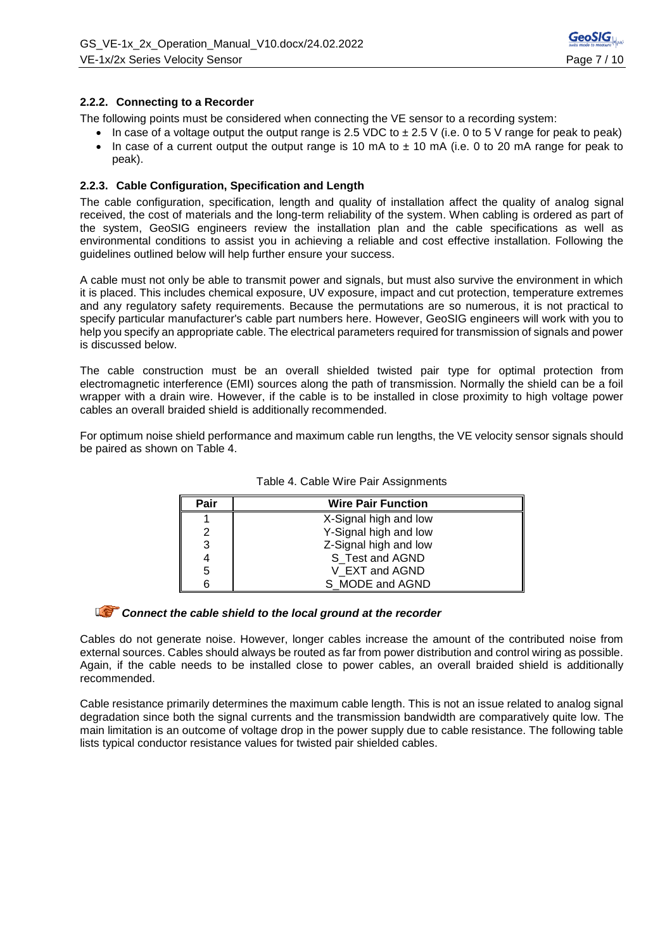#### **2.2.2. Connecting to a Recorder**

peak).

The following points must be considered when connecting the VE sensor to a recording system:

In case of a voltage output the output range is 2.5 VDC to  $\pm$  2.5 V (i.e. 0 to 5 V range for peak to peak) • In case of a current output the output range is 10 mA to  $\pm$  10 mA (i.e. 0 to 20 mA range for peak to

#### **2.2.3. Cable Configuration, Specification and Length**

The cable configuration, specification, length and quality of installation affect the quality of analog signal received, the cost of materials and the long-term reliability of the system. When cabling is ordered as part of the system, GeoSIG engineers review the installation plan and the cable specifications as well as environmental conditions to assist you in achieving a reliable and cost effective installation. Following the guidelines outlined below will help further ensure your success.

A cable must not only be able to transmit power and signals, but must also survive the environment in which it is placed. This includes chemical exposure, UV exposure, impact and cut protection, temperature extremes and any regulatory safety requirements. Because the permutations are so numerous, it is not practical to specify particular manufacturer's cable part numbers here. However, GeoSIG engineers will work with you to help you specify an appropriate cable. The electrical parameters required for transmission of signals and power is discussed below.

The cable construction must be an overall shielded twisted pair type for optimal protection from electromagnetic interference (EMI) sources along the path of transmission. Normally the shield can be a foil wrapper with a drain wire. However, if the cable is to be installed in close proximity to high voltage power cables an overall braided shield is additionally recommended.

For optimum noise shield performance and maximum cable run lengths, the VE velocity sensor signals should be paired as shown on Table 4.

| Pair | <b>Wire Pair Function</b> |  |  |
|------|---------------------------|--|--|
|      | X-Signal high and low     |  |  |
|      | Y-Signal high and low     |  |  |
| 3    | Z-Signal high and low     |  |  |
|      | S_Test and AGND           |  |  |
| 5    | V EXT and AGND            |  |  |
|      | S MODE and AGND           |  |  |

Table 4. Cable Wire Pair Assignments

### **Connect the cable shield to the local ground at the recorder**

Cables do not generate noise. However, longer cables increase the amount of the contributed noise from external sources. Cables should always be routed as far from power distribution and control wiring as possible. Again, if the cable needs to be installed close to power cables, an overall braided shield is additionally recommended.

Cable resistance primarily determines the maximum cable length. This is not an issue related to analog signal degradation since both the signal currents and the transmission bandwidth are comparatively quite low. The main limitation is an outcome of voltage drop in the power supply due to cable resistance. The following table lists typical conductor resistance values for twisted pair shielded cables.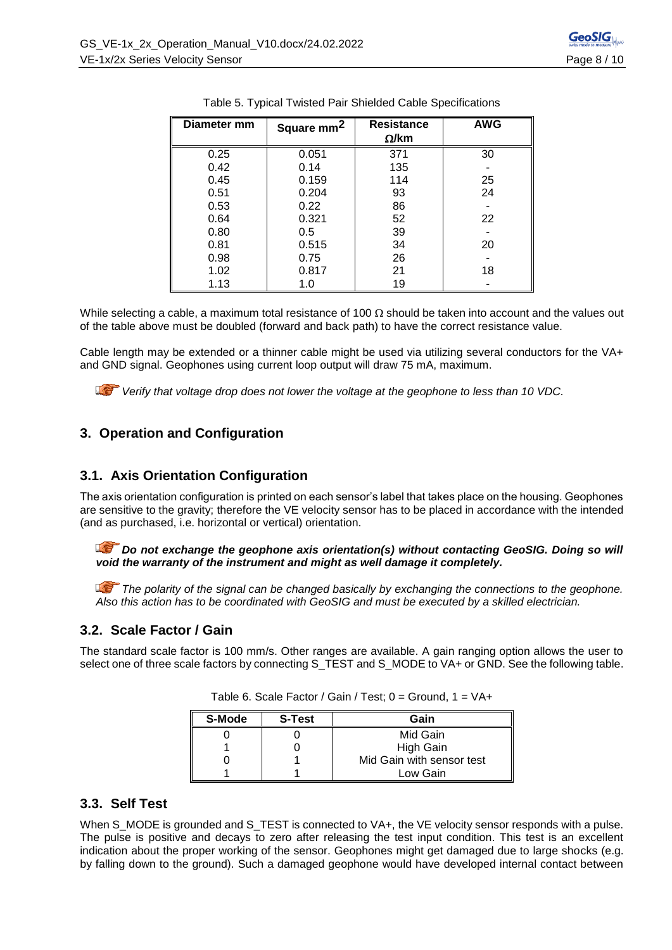| Diameter mm | Square mm <sup>2</sup> | <b>Resistance</b><br>$\Omega$ /km | <b>AWG</b> |
|-------------|------------------------|-----------------------------------|------------|
| 0.25        | 0.051                  | 371                               | 30         |
| 0.42        | 0.14                   | 135                               |            |
| 0.45        | 0.159                  | 114                               | 25         |
| 0.51        | 0.204                  | 93                                | 24         |
| 0.53        | 0.22                   | 86                                |            |
| 0.64        | 0.321                  | 52                                | 22         |
| 0.80        | 0.5                    | 39                                |            |
| 0.81        | 0.515                  | 34                                | 20         |
| 0.98        | 0.75                   | 26                                |            |
| 1.02        | 0.817                  | 21                                | 18         |
| 1.13        | 1.0                    | 19                                |            |

|  |  |  | Table 5. Typical Twisted Pair Shielded Cable Specifications |
|--|--|--|-------------------------------------------------------------|
|  |  |  |                                                             |

While selecting a cable, a maximum total resistance of 100  $\Omega$  should be taken into account and the values out of the table above must be doubled (forward and back path) to have the correct resistance value.

Cable length may be extended or a thinner cable might be used via utilizing several conductors for the VA+ and GND signal. Geophones using current loop output will draw 75 mA, maximum.

*Verify that voltage drop does not lower the voltage at the geophone to less than 10 VDC.*

# **3. Operation and Configuration**

# **3.1. Axis Orientation Configuration**

The axis orientation configuration is printed on each sensor's label that takes place on the housing. Geophones are sensitive to the gravity; therefore the VE velocity sensor has to be placed in accordance with the intended (and as purchased, i.e. horizontal or vertical) orientation.

**Do not exchange the geophone axis orientation(s) without contacting GeoSIG. Doing so will** *void the warranty of the instrument and might as well damage it completely.*

*The polarity of the signal can be changed basically by exchanging the connections to the geophone. Also this action has to be coordinated with GeoSIG and must be executed by a skilled electrician.*

# **3.2. Scale Factor / Gain**

The standard scale factor is 100 mm/s. Other ranges are available. A gain ranging option allows the user to select one of three scale factors by connecting S\_TEST and S\_MODE to VA+ or GND. See the following table.

| S-Mode | <b>S-Test</b> | Gain                      |
|--------|---------------|---------------------------|
|        |               | Mid Gain                  |
|        |               | <b>High Gain</b>          |
|        |               | Mid Gain with sensor test |
|        |               | Low Gain                  |

Table 6. Scale Factor / Gain / Test; 0 = Ground, 1 = VA+

# <span id="page-7-0"></span>**3.3. Self Test**

When S\_MODE is grounded and S\_TEST is connected to VA+, the VE velocity sensor responds with a pulse. The pulse is positive and decays to zero after releasing the test input condition. This test is an excellent indication about the proper working of the sensor. Geophones might get damaged due to large shocks (e.g. by falling down to the ground). Such a damaged geophone would have developed internal contact between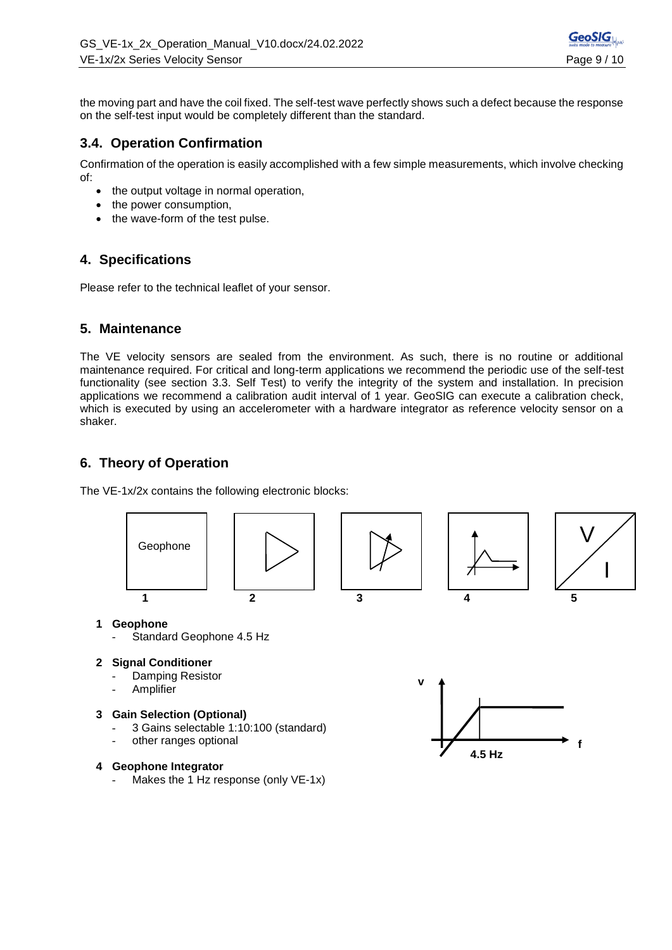the moving part and have the coil fixed. The self-test wave perfectly shows such a defect because the response on the self-test input would be completely different than the standard.

# **3.4. Operation Confirmation**

Confirmation of the operation is easily accomplished with a few simple measurements, which involve checking of:

- the output voltage in normal operation,
- the power consumption,
- the wave-form of the test pulse.

# **4. Specifications**

Please refer to the technical leaflet of your sensor.

## **5. Maintenance**

The VE velocity sensors are sealed from the environment. As such, there is no routine or additional maintenance required. For critical and long-term applications we recommend the periodic use of the self-test functionality (see section [3.3. Self Test\)](#page-7-0) to verify the integrity of the system and installation. In precision applications we recommend a calibration audit interval of 1 year. GeoSIG can execute a calibration check, which is executed by using an accelerometer with a hardware integrator as reference velocity sensor on a shaker.

# **6. Theory of Operation**

The VE-1x/2x contains the following electronic blocks:



#### **1 Geophone**

- Standard Geophone 4.5 Hz
- **2 Signal Conditioner**
	- Damping Resistor
	- **Amplifier**

#### **3 Gain Selection (Optional)**

- 3 Gains selectable 1:10:100 (standard)
- other ranges optional

### **4 Geophone Integrator**

Makes the 1 Hz response (only VE-1x)